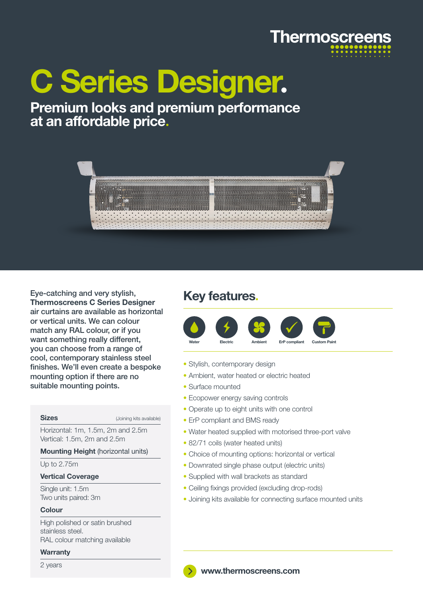

# C Series Designer**.**

### Premium looks and premium performance at an affordable price**.**



Eye-catching and very stylish, Thermoscreens C Series Designer air curtains are available as horizontal or vertical units. We can colour match any RAL colour, or if you want something really different, you can choose from a range of cool, contemporary stainless steel finishes. We'll even create a bespoke mounting option if there are no suitable mounting points.

Sizes (Joining kits available)

Horizontal: 1m, 1.5m, 2m and 2.5m Vertical: 1.5m, 2m and 2.5m

### Mounting Height (horizontal units)

Up to 2.75m

### Vertical Coverage

Single unit: 1.5m Two units paired: 3m

#### Colour

High polished or satin brushed stainless steel. RAL colour matching available

### **Warranty**

2 years

### Key features**.**



- Stylish, contemporary design
- Ambient, water heated or electric heated
- Surface mounted
- Ecopower energy saving controls
- Operate up to eight units with one control
- ErP compliant and BMS ready
- Water heated supplied with motorised three-port valve
- 82/71 coils (water heated units)
- Choice of mounting options: horizontal or vertical
- Downrated single phase output (electric units)
- Supplied with wall brackets as standard
- Ceiling fixings provided (excluding drop-rods)
- Joining kits available for connecting surface mounted units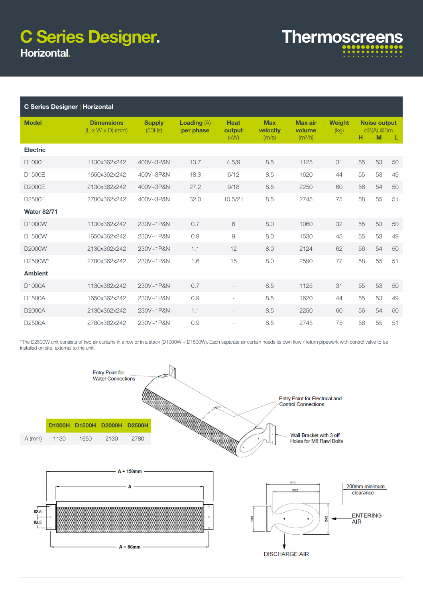## C Series Designer**.** Horizontal

| <b>Thermoscreens</b> |  |  |  |  |  |  |                      |  |
|----------------------|--|--|--|--|--|--|----------------------|--|
|                      |  |  |  |  |  |  |                      |  |
|                      |  |  |  |  |  |  | .                    |  |
|                      |  |  |  |  |  |  | $\cdots\cdots\cdots$ |  |

| <b>C Series Designer   Horizontal</b> |                                                   |                         |                                   |                               |                                 |                                                 |                       |    |                                         |    |
|---------------------------------------|---------------------------------------------------|-------------------------|-----------------------------------|-------------------------------|---------------------------------|-------------------------------------------------|-----------------------|----|-----------------------------------------|----|
| <b>Model</b>                          | <b>Dimensions</b><br>$(L \times W \times D)$ (mm) | <b>Supply</b><br>(50Hz) | <b>Loading</b> $(A)$<br>per phase | <b>Heat</b><br>output<br>(KW) | <b>Max</b><br>velocity<br>(m/s) | <b>Max air</b><br>volume<br>(m <sup>3</sup> /h) | <b>Weight</b><br>(kq) | н  | <b>Noise output</b><br>$dB(A)$ @3m<br>M | L  |
| <b>Electric</b>                       |                                                   |                         |                                   |                               |                                 |                                                 |                       |    |                                         |    |
| D1000E                                | 1130x362x242                                      | 400V~3P&N               | 13.7                              | 4.5/9                         | 8.5                             | 1125                                            | 31                    | 55 | 53                                      | 50 |
| D1500E                                | 1650x362x242                                      | 400V~3P&N               | 18.3                              | 6/12                          | 8.5                             | 1620                                            | 44                    | 55 | 53                                      | 49 |
| D2000E                                | 2130x362x242                                      | 400V~3P&N               | 27.2                              | 9/18                          | 8.5                             | 2250                                            | 60                    | 56 | 54                                      | 50 |
| D2500E                                | 2780x362x242                                      | 400V~3P&N               | 32.0                              | 10.5/21                       | 8.5                             | 2745                                            | 75                    | 58 | 55                                      | 51 |
| <b>Water 82/71</b>                    |                                                   |                         |                                   |                               |                                 |                                                 |                       |    |                                         |    |
| D1000W                                | 1130x362x242                                      | 230V~1P&N               | 0.7                               | 6                             | 8.0                             | 1060                                            | 32                    | 55 | 53                                      | 50 |
| D1500W                                | 1650x362x242                                      | 230V~1P&N               | 0.9                               | 9                             | 8.0                             | 1530                                            | 45                    | 55 | 53                                      | 49 |
| D2000W                                | 2130x362x242                                      | 230V~1P&N               | 1.1                               | 12                            | 8.0                             | 2124                                            | 62                    | 56 | 54                                      | 50 |
| D2500W*                               | 2780x362x242                                      | 230V~1P&N               | 1.6                               | 15                            | 8.0                             | 2590                                            | 77                    | 58 | 55                                      | 51 |
| <b>Ambient</b>                        |                                                   |                         |                                   |                               |                                 |                                                 |                       |    |                                         |    |
| D1000A                                | 1130x362x242                                      | 230V~1P&N               | 0.7                               |                               | 8.5                             | 1125                                            | 31                    | 55 | 53                                      | 50 |
| D1500A                                | 1650x362x242                                      | 230V~1P&N               | 0.9                               |                               | 8.5                             | 1620                                            | 44                    | 55 | 53                                      | 49 |
| D2000A                                | 2130x362x242                                      | 230V~1P&N               | 1.1                               |                               | 8.5                             | 2250                                            | 60                    | 56 | 54                                      | 50 |
| D2500A                                | 2780x362x242                                      | 230V~1P&N               | 0.9                               |                               | 8.5                             | 2745                                            | 75                    | 58 | 55                                      | 51 |

\*The D2500W unit consists of two air curtains in a row or in a stack (D1000W + D1500W). Each separate air curtain needs its own flow / return pipework with control valve to be installed on site, external to the unit.

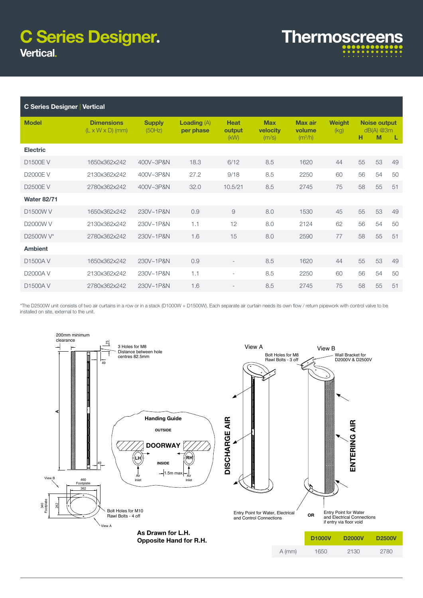## Vertical C Series Designer**.**

| <b>Thermoscreens</b> |  |  |   |  |  |  |  |
|----------------------|--|--|---|--|--|--|--|
|                      |  |  |   |  |  |  |  |
|                      |  |  | . |  |  |  |  |
|                      |  |  | . |  |  |  |  |

| <b>C Series Designer Vertical</b> |                                                   |                         |                                   |                               |                                        |                                       |                       |    |                                         |    |
|-----------------------------------|---------------------------------------------------|-------------------------|-----------------------------------|-------------------------------|----------------------------------------|---------------------------------------|-----------------------|----|-----------------------------------------|----|
| <b>Model</b>                      | <b>Dimensions</b><br>$(L \times W \times D)$ (mm) | <b>Supply</b><br>(50Hz) | <b>Loading</b> $(A)$<br>per phase | <b>Heat</b><br>output<br>(KW) | <b>Max</b><br><b>velocity</b><br>(m/s) | <b>Max air</b><br>volume<br>$(m^3/h)$ | <b>Weight</b><br>(kq) | н  | <b>Noise output</b><br>$dB(A)$ @3m<br>M | L. |
| <b>Electric</b>                   |                                                   |                         |                                   |                               |                                        |                                       |                       |    |                                         |    |
| <b>D1500EV</b>                    | 1650x362x242                                      | 400V~3P&N               | 18.3                              | 6/12                          | 8.5                                    | 1620                                  | 44                    | 55 | 53                                      | 49 |
| D2000EV                           | 2130x362x242                                      | 400V~3P&N               | 27.2                              | 9/18                          | 8.5                                    | 2250                                  | 60                    | 56 | 54                                      | 50 |
| <b>D2500EV</b>                    | 2780x362x242                                      | 400V~3P&N               | 32.0                              | 10.5/21                       | 8.5                                    | 2745                                  | 75                    | 58 | 55                                      | 51 |
| <b>Water 82/71</b>                |                                                   |                         |                                   |                               |                                        |                                       |                       |    |                                         |    |
| D1500W V                          | 1650x362x242                                      | 230V~1P&N               | 0.9                               | 9                             | 8.0                                    | 1530                                  | 45                    | 55 | 53                                      | 49 |
| D2000W V                          | 2130x362x242                                      | 230V~1P&N               | 1.1                               | 12                            | 8.0                                    | 2124                                  | 62                    | 56 | 54                                      | 50 |
| D2500W V*                         | 2780x362x242                                      | 230V~1P&N               | 1.6                               | 15                            | 8.0                                    | 2590                                  | 77                    | 58 | 55                                      | 51 |
| <b>Ambient</b>                    |                                                   |                         |                                   |                               |                                        |                                       |                       |    |                                         |    |
| D1500AV                           | 1650x362x242                                      | 230V~1P&N               | 0.9                               |                               | 8.5                                    | 1620                                  | 44                    | 55 | 53                                      | 49 |
| <b>D2000AV</b>                    | 2130x362x242                                      | 230V~1P&N               | 1.1                               | $\overline{\phantom{a}}$      | 8.5                                    | 2250                                  | 60                    | 56 | 54                                      | 50 |
| D1500AV                           | 2780x362x242                                      | 230V~1P&N               | 1.6                               |                               | 8.5                                    | 2745                                  | 75                    | 58 | 55                                      | 51 |

\*The D2500W unit consists of two air curtains in a row or in a stack (D1000W + D1500W). Each separate air curtain needs its own flow / return pipework with control valve to be installed on site, external to the unit.